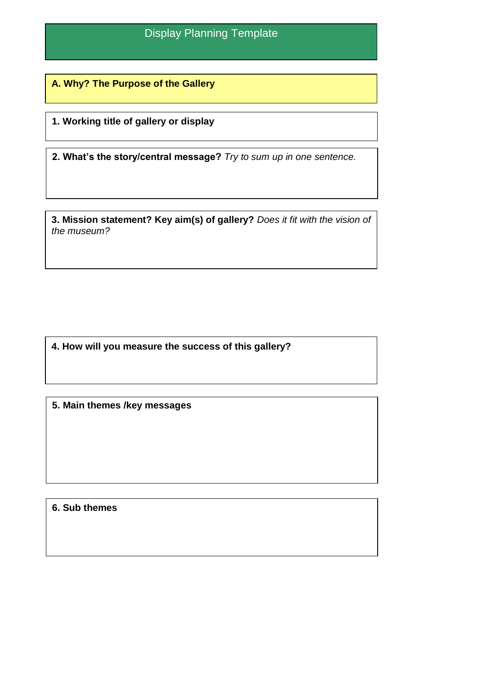**A. Why? The Purpose of the Gallery** 

minu

**1. Working title of gallery or display**

**2. What's the story/central message?** *Try to sum up in one sentence.*

**3. Mission statement? Key aim(s) of gallery?** *Does it fit with the vision of the museum?*

**4. How will you measure the success of this gallery?** 

**5. Main themes /key messages**

**6. Sub themes**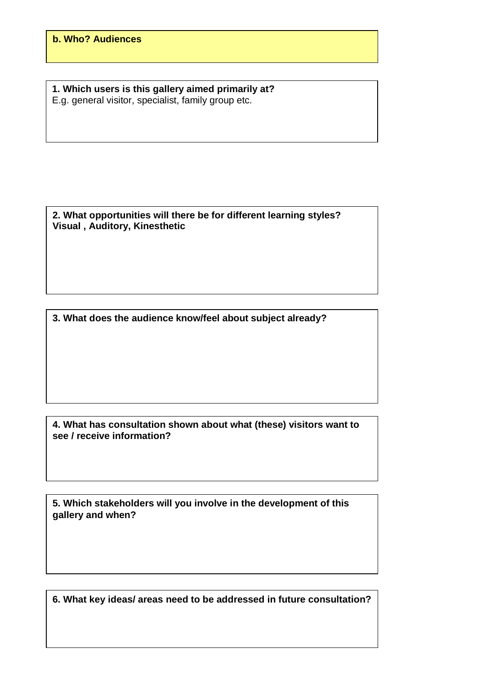**1. Which users is this gallery aimed primarily at?**  E.g. general visitor, specialist, family group etc.

**2. What opportunities will there be for different learning styles? Visual , Auditory, Kinesthetic**

**3. What does the audience know/feel about subject already?**

**4. What has consultation shown about what (these) visitors want to see / receive information?** 

**5. Which stakeholders will you involve in the development of this gallery and when?**

**6. What key ideas/ areas need to be addressed in future consultation?**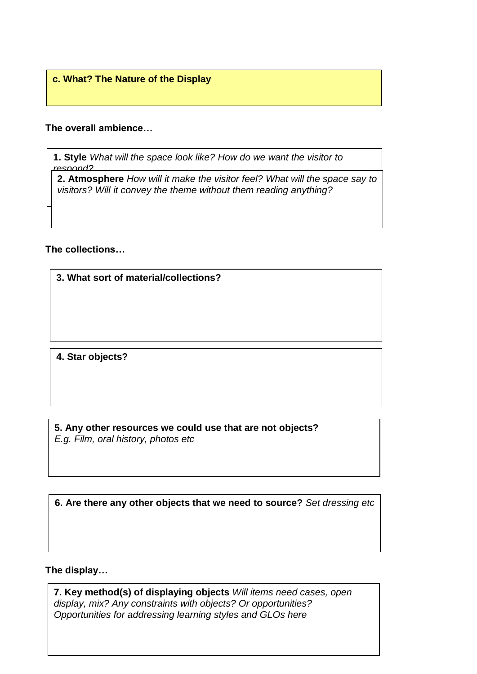## **c. What? The Nature of the Display**

## **The overall ambience…**

**1. Style** *What will the space look like? How do we want the visitor to respond?* 

**2. Atmosphere** *How will it make the visitor feel? What will the space say to visitors? Will it convey the theme without them reading anything?*

## **The collections…**

**3. What sort of material/collections?** 

**4. Star objects?** 

**5. Any other resources we could use that are not objects?** *E.g. Film, oral history, photos etc*

**6. Are there any other objects that we need to source?** *Set dressing etc*

## **The display…**

**7. Key method(s) of displaying objects** *Will items need cases, open display, mix? Any constraints with objects? Or opportunities? Opportunities for addressing learning styles and GLOs here*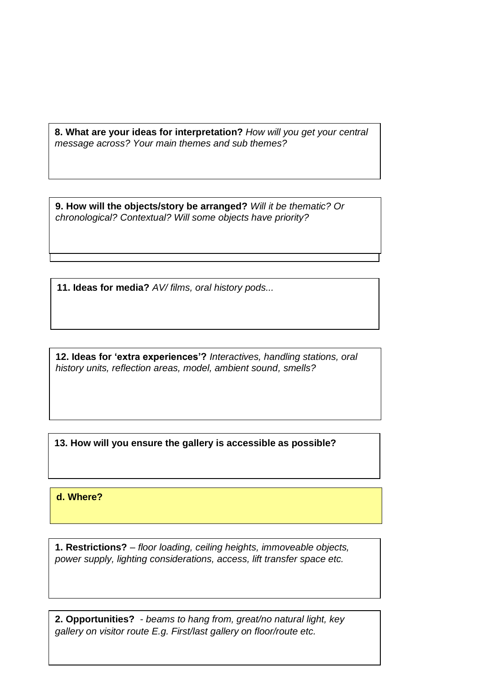**8. What are your ideas for interpretation?** *How will you get your central message across? Your main themes and sub themes?* 

**10. How will the visitor move through the gallery?** *Will it be a fixed chronological? Contextual? Will some objects have priority?*  **9. How will the objects/story be arranged?** *Will it be thematic? Or* 

**11. Ideas for media?** *AV/ films, oral history pods...*

**12. Ideas for 'extra experiences'?** *Interactives, handling stations, oral history units, reflection areas, model, ambient sound, smells?*

**13. How will you ensure the gallery is accessible as possible?** 

**d. Where?** 

**1. Restrictions?** *– floor loading, ceiling heights, immoveable objects, power supply, lighting considerations, access, lift transfer space etc.* 

**2. Opportunities?** *- beams to hang from, great/no natural light, key gallery on visitor route E.g. First/last gallery on floor/route etc.*